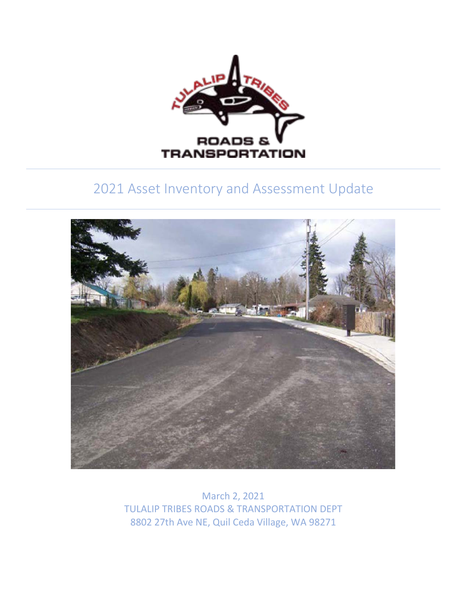

# 2021 Asset Inventory and Assessment Update



March 2, 2021 TULALIP TRIBES ROADS & TRANSPORTATION DEPT 8802 27th Ave NE, Quil Ceda Village, WA 98271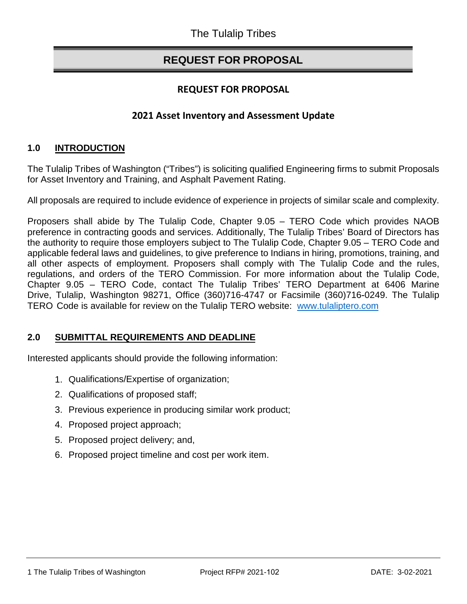## **REQUEST FOR PROPOSAL**

## **REQUEST FOR PROPOSAL**

## **2021 Asset Inventory and Assessment Update**

#### **1.0 INTRODUCTION**

The Tulalip Tribes of Washington ("Tribes") is soliciting qualified Engineering firms to submit Proposals for Asset Inventory and Training, and Asphalt Pavement Rating.

All proposals are required to include evidence of experience in projects of similar scale and complexity.

Proposers shall abide by The Tulalip Code, Chapter 9.05 – TERO Code which provides NAOB preference in contracting goods and services. Additionally, The Tulalip Tribes' Board of Directors has the authority to require those employers subject to The Tulalip Code, Chapter 9.05 – TERO Code and applicable federal laws and guidelines, to give preference to Indians in hiring, promotions, training, and all other aspects of employment. Proposers shall comply with The Tulalip Code and the rules, regulations, and orders of the TERO Commission. For more information about the Tulalip Code, Chapter 9.05 – TERO Code, contact The Tulalip Tribes' TERO Department at 6406 Marine Drive, Tulalip, Washington 98271, Office (360)716-4747 or Facsimile (360)716-0249. The Tulalip TERO Code is available for review on the Tulalip TERO [website: www.tulalipte](http://www.tulaliptero.com/)ro.com

#### **2.0 SUBMITTAL REQUIREMENTS AND DEADLINE**

Interested applicants should provide the following information:

- 1. Qualifications/Expertise of organization;
- 2. Qualifications of proposed staff;
- 3. Previous experience in producing similar work product;
- 4. Proposed project approach;
- 5. Proposed project delivery; and,
- 6. Proposed project timeline and cost per work item.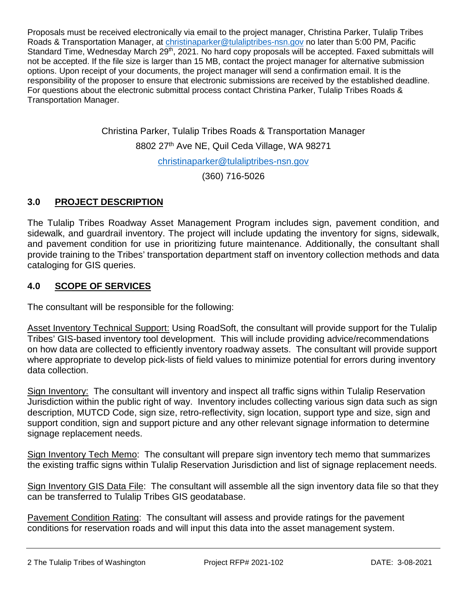Proposals must be received electronically via email to the project manager, Christina Parker, Tulalip Tribes Roads & Transportation Manager, at [christinaparker@tulaliptribes-nsn.gov](mailto:christinaparker@tulaliptribes-nsn.gov) no later than 5:00 PM, Pacific Standard Time, Wednesday March 29<sup>th</sup>, 2021. No hard copy proposals will be accepted. Faxed submittals will not be accepted. If the file size is larger than 15 MB, contact the project manager for alternative submission options. Upon receipt of your documents, the project manager will send a confirmation email. It is the responsibility of the proposer to ensure that electronic submissions are received by the established deadline. For questions about the electronic submittal process contact Christina Parker, Tulalip Tribes Roads & Transportation Manager.

> Christina Parker, Tulalip Tribes Roads & Transportation Manager 8802 27th Ave NE, Quil Ceda Village, WA 98271 [christinaparker@tulaliptribes-nsn.gov](mailto:christinaparker@tulaliptribes-nsn.gov) (360) 716-5026

## **3.0 PROJECT DESCRIPTION**

The Tulalip Tribes Roadway Asset Management Program includes sign, pavement condition, and sidewalk, and guardrail inventory. The project will include updating the inventory for signs, sidewalk, and pavement condition for use in prioritizing future maintenance. Additionally, the consultant shall provide training to the Tribes' transportation department staff on inventory collection methods and data cataloging for GIS queries.

## **4.0 SCOPE OF SERVICES**

The consultant will be responsible for the following:

Asset Inventory Technical Support: Using RoadSoft, the consultant will provide support for the Tulalip Tribes' GIS-based inventory tool development. This will include providing advice/recommendations on how data are collected to efficiently inventory roadway assets. The consultant will provide support where appropriate to develop pick-lists of field values to minimize potential for errors during inventory data collection.

Sign Inventory: The consultant will inventory and inspect all traffic signs within Tulalip Reservation Jurisdiction within the public right of way. Inventory includes collecting various sign data such as sign description, MUTCD Code, sign size, retro-reflectivity, sign location, support type and size, sign and support condition, sign and support picture and any other relevant signage information to determine signage replacement needs.

Sign Inventory Tech Memo: The consultant will prepare sign inventory tech memo that summarizes the existing traffic signs within Tulalip Reservation Jurisdiction and list of signage replacement needs.

Sign Inventory GIS Data File: The consultant will assemble all the sign inventory data file so that they can be transferred to Tulalip Tribes GIS geodatabase.

Pavement Condition Rating: The consultant will assess and provide ratings for the pavement conditions for reservation roads and will input this data into the asset management system.

2 The Tulalip Tribes of Washington Project RFP# 2021-102 DATE: 3-08-2021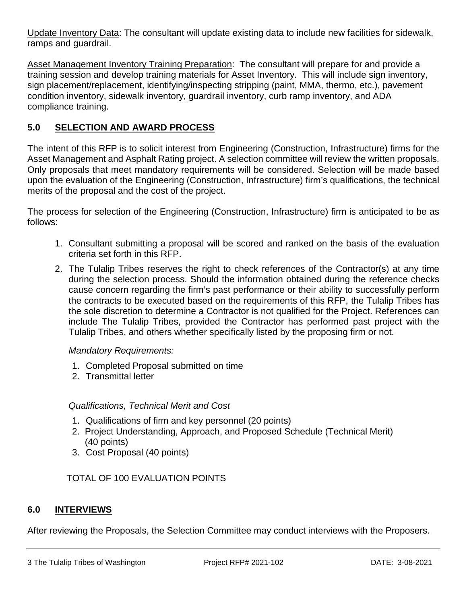Update Inventory Data: The consultant will update existing data to include new facilities for sidewalk, ramps and guardrail.

Asset Management Inventory Training Preparation: The consultant will prepare for and provide a training session and develop training materials for Asset Inventory. This will include sign inventory, sign placement/replacement, identifying/inspecting stripping (paint, MMA, thermo, etc.), pavement condition inventory, sidewalk inventory, guardrail inventory, curb ramp inventory, and ADA compliance training.

## **5.0 SELECTION AND AWARD PROCESS**

The intent of this RFP is to solicit interest from Engineering (Construction, Infrastructure) firms for the Asset Management and Asphalt Rating project. A selection committee will review the written proposals. Only proposals that meet mandatory requirements will be considered. Selection will be made based upon the evaluation of the Engineering (Construction, Infrastructure) firm's qualifications, the technical merits of the proposal and the cost of the project.

The process for selection of the Engineering (Construction, Infrastructure) firm is anticipated to be as follows:

- 1. Consultant submitting a proposal will be scored and ranked on the basis of the evaluation criteria set forth in this RFP.
- 2. The Tulalip Tribes reserves the right to check references of the Contractor(s) at any time during the selection process. Should the information obtained during the reference checks cause concern regarding the firm's past performance or their ability to successfully perform the contracts to be executed based on the requirements of this RFP, the Tulalip Tribes has the sole discretion to determine a Contractor is not qualified for the Project. References can include The Tulalip Tribes, provided the Contractor has performed past project with the Tulalip Tribes, and others whether specifically listed by the proposing firm or not.

#### *Mandatory Requirements:*

- 1. Completed Proposal submitted on time
- 2. Transmittal letter

#### *Qualifications, Technical Merit and Cost*

- 1. Qualifications of firm and key personnel (20 points)
- 2. Project Understanding, Approach, and Proposed Schedule (Technical Merit) (40 points)
- 3. Cost Proposal (40 points)

## TOTAL OF 100 EVALUATION POINTS

## **6.0 INTERVIEWS**

After reviewing the Proposals, the Selection Committee may conduct interviews with the Proposers.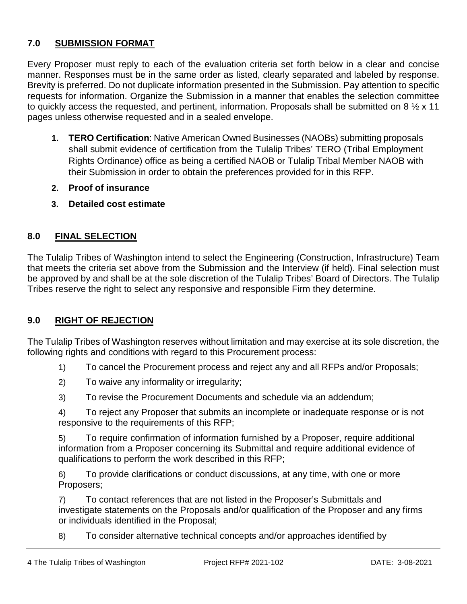## **7.0 SUBMISSION FORMAT**

Every Proposer must reply to each of the evaluation criteria set forth below in a clear and concise manner. Responses must be in the same order as listed, clearly separated and labeled by response. Brevity is preferred. Do not duplicate information presented in the Submission. Pay attention to specific requests for information. Organize the Submission in a manner that enables the selection committee to quickly access the requested, and pertinent, information. Proposals shall be submitted on 8  $\frac{1}{2}$  x 11 pages unless otherwise requested and in a sealed envelope.

- **1. TERO Certification**: Native American Owned Businesses (NAOBs) submitting proposals shall submit evidence of certification from the Tulalip Tribes' TERO (Tribal Employment Rights Ordinance) office as being a certified NAOB or Tulalip Tribal Member NAOB with their Submission in order to obtain the preferences provided for in this RFP.
- **2. Proof of insurance**
- **3. Detailed cost estimate**

#### **8.0 FINAL SELECTION**

The Tulalip Tribes of Washington intend to select the Engineering (Construction, Infrastructure) Team that meets the criteria set above from the Submission and the Interview (if held). Final selection must be approved by and shall be at the sole discretion of the Tulalip Tribes' Board of Directors. The Tulalip Tribes reserve the right to select any responsive and responsible Firm they determine.

## **9.0 RIGHT OF REJECTION**

The Tulalip Tribes of Washington reserves without limitation and may exercise at its sole discretion, the following rights and conditions with regard to this Procurement process:

- 1) To cancel the Procurement process and reject any and all RFPs and/or Proposals;
- 2) To waive any informality or irregularity;
- 3) To revise the Procurement Documents and schedule via an addendum;

4) To reject any Proposer that submits an incomplete or inadequate response or is not responsive to the requirements of this RFP;

5) To require confirmation of information furnished by a Proposer, require additional information from a Proposer concerning its Submittal and require additional evidence of qualifications to perform the work described in this RFP;

6) To provide clarifications or conduct discussions, at any time, with one or more Proposers;

7) To contact references that are not listed in the Proposer's Submittals and investigate statements on the Proposals and/or qualification of the Proposer and any firms or individuals identified in the Proposal;

8) To consider alternative technical concepts and/or approaches identified by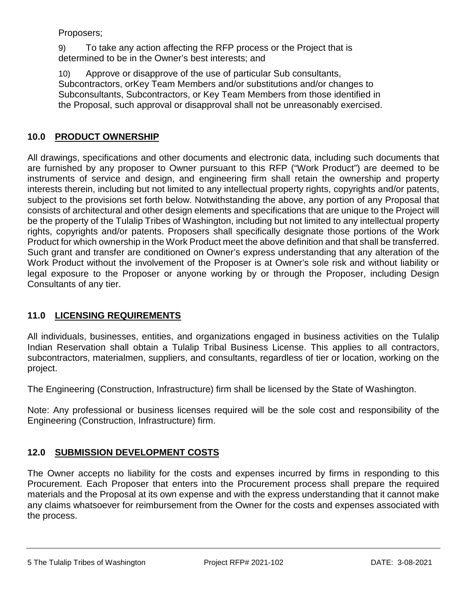Proposers;

9) To take any action affecting the RFP process or the Project that is determined to be in the Owner's best interests; and

10) Approve or disapprove of the use of particular Sub consultants, Subcontractors, orKey Team Members and/or substitutions and/or changes to Subconsultants, Subcontractors, or Key Team Members from those identified in the Proposal, such approval or disapproval shall not be unreasonably exercised.

#### **10.0 PRODUCT OWNERSHIP**

All drawings, specifications and other documents and electronic data, including such documents that are furnished by any proposer to Owner pursuant to this RFP ("Work Product") are deemed to be instruments of service and design, and engineering firm shall retain the ownership and property interests therein, including but not limited to any intellectual property rights, copyrights and/or patents, subject to the provisions set forth below. Notwithstanding the above, any portion of any Proposal that consists of architectural and other design elements and specifications that are unique to the Project will be the property of the Tulalip Tribes of Washington, including but not limited to any intellectual property rights, copyrights and/or patents. Proposers shall specifically designate those portions of the Work Product for which ownership in the Work Product meet the above definition and that shall be transferred. Such grant and transfer are conditioned on Owner's express understanding that any alteration of the Work Product without the involvement of the Proposer is at Owner's sole risk and without liability or legal exposure to the Proposer or anyone working by or through the Proposer, including Design Consultants of any tier.

## **11.0 LICENSING REQUIREMENTS**

All individuals, businesses, entities, and organizations engaged in business activities on the Tulalip Indian Reservation shall obtain a Tulalip Tribal Business License. This applies to all contractors, subcontractors, materialmen, suppliers, and consultants, regardless of tier or location, working on the project.

The Engineering (Construction, Infrastructure) firm shall be licensed by the State of Washington.

Note: Any professional or business licenses required will be the sole cost and responsibility of the Engineering (Construction, Infrastructure) firm.

## **12.0 SUBMISSION DEVELOPMENT COSTS**

The Owner accepts no liability for the costs and expenses incurred by firms in responding to this Procurement. Each Proposer that enters into the Procurement process shall prepare the required materials and the Proposal at its own expense and with the express understanding that it cannot make any claims whatsoever for reimbursement from the Owner for the costs and expenses associated with the process.

5 The Tulalip Tribes of Washington Project RFP# 2021-102 DATE: 3-08-2021